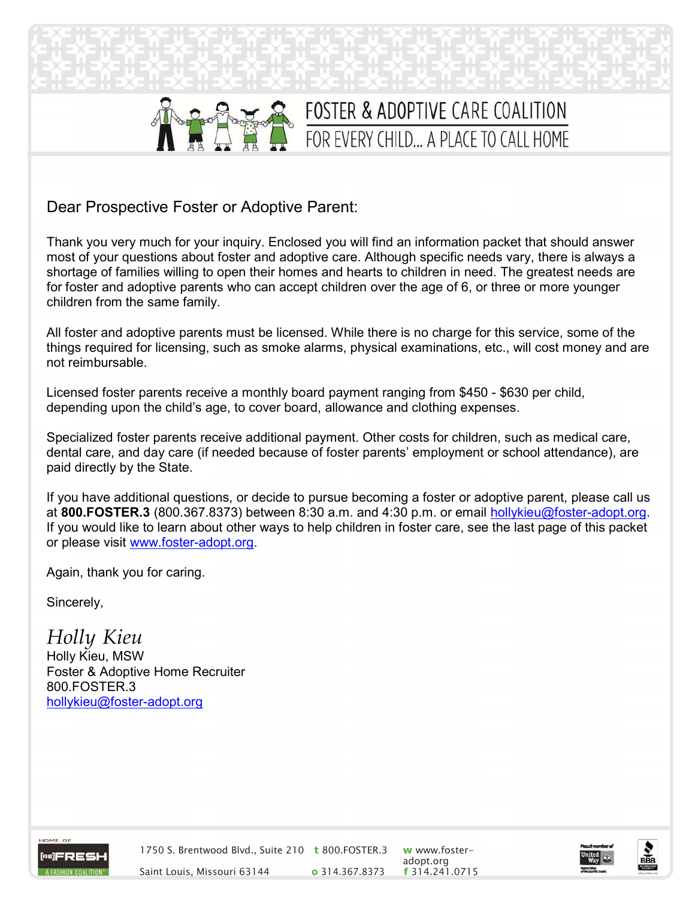

# FOSTER & ADOPTIVE CARE COALITION FOR EVERY CHILD... A PLACE TO CALL HOME

Dear Prospective Foster or Adoptive Parent:

Thank you very much for your inquiry. Enclosed you will find an information packet that should answer most of your questions about foster and adoptive care. Although specific needs vary, there is always a shortage of families willing to open their homes and hearts to children in need. The greatest needs are for foster and adoptive parents who can accept children over the age of 6, or three or more younger children from the same family.

All foster and adoptive parents must be licensed. While there is no charge for this service, some of the things required for licensing, such as smoke alarms, physical examinations, etc., will cost money and are not reimbursable.

Licensed foster parents receive a monthly board payment ranging from \$450 - \$630 per child, depending upon the child's age, to cover board, allowance and clothing expenses.

Specialized foster parents receive additional payment. Other costs for children, such as medical care, dental care, and day care (if needed because of foster parents' employment or school attendance), are paid directly by the State.

If you have additional questions, or decide to pursue becoming a foster or adoptive parent, please call us at 800.FOSTER.3 (800.367.8373) between 8:30 a.m. and 4:30 p.m. or email hollykieu@foster-adopt.org. If you would like to learn about other ways to help children in foster care, see the last page of this packet or please visit www.foster-adopt.org.

Again, thank you for caring.

Sincerely,

Holly Kieu Holly Kieu, MSW Foster & Adoptive Home Recruiter 800.FOSTER.3 hollykieu@foster-adopt.org



1750 S. Brentwood Blvd., Suite 210 t 800.FOSTER.3 w www.foster-Saint Louis, Missouri 63144 **o** 314.367.8373

adopt.org<br>**f** 314.241.0715



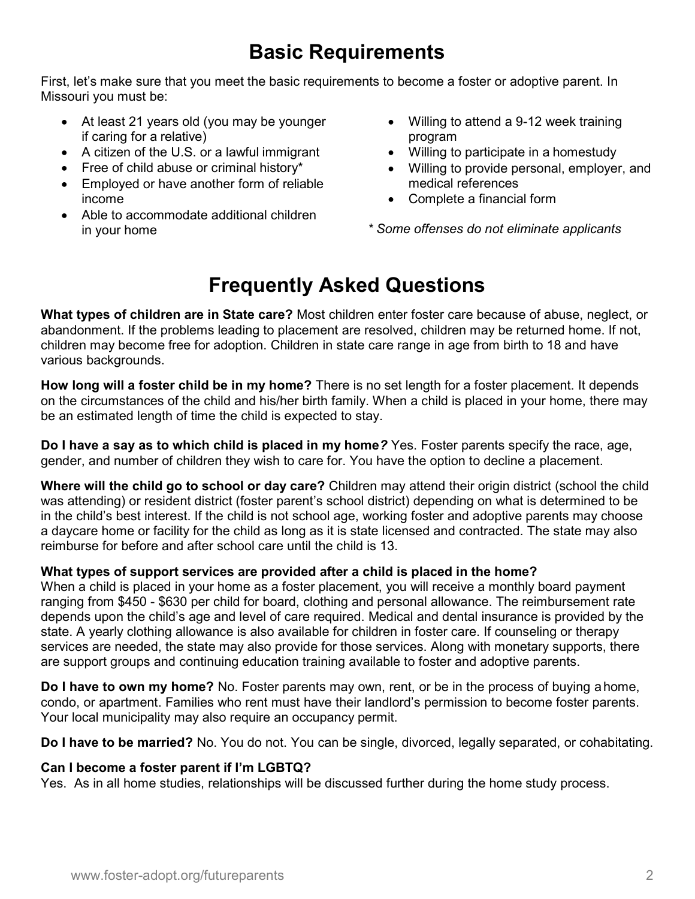## Basic Requirements

First, let's make sure that you meet the basic requirements to become a foster or adoptive parent. In Missouri you must be:

- At least 21 years old (you may be younger if caring for a relative)
- A citizen of the U.S. or a lawful immigrant
- Free of child abuse or criminal history\*
- Employed or have another form of reliable income
- Able to accommodate additional children in your home
- Willing to attend a 9-12 week training program
- Willing to participate in a homestudy
- Willing to provide personal, employer, and medical references
- Complete a financial form

\* Some offenses do not eliminate applicants

## Frequently Asked Questions

What types of children are in State care? Most children enter foster care because of abuse, neglect, or abandonment. If the problems leading to placement are resolved, children may be returned home. If not, children may become free for adoption. Children in state care range in age from birth to 18 and have various backgrounds.

How long will a foster child be in my home? There is no set length for a foster placement. It depends on the circumstances of the child and his/her birth family. When a child is placed in your home, there may be an estimated length of time the child is expected to stay.

Do I have a say as to which child is placed in my home? Yes. Foster parents specify the race, age, gender, and number of children they wish to care for. You have the option to decline a placement.

Where will the child go to school or day care? Children may attend their origin district (school the child was attending) or resident district (foster parent's school district) depending on what is determined to be in the child's best interest. If the child is not school age, working foster and adoptive parents may choose a daycare home or facility for the child as long as it is state licensed and contracted. The state may also reimburse for before and after school care until the child is 13.

## What types of support services are provided after a child is placed in the home?

When a child is placed in your home as a foster placement, you will receive a monthly board payment ranging from \$450 - \$630 per child for board, clothing and personal allowance. The reimbursement rate depends upon the child's age and level of care required. Medical and dental insurance is provided by the state. A yearly clothing allowance is also available for children in foster care. If counseling or therapy services are needed, the state may also provide for those services. Along with monetary supports, there are support groups and continuing education training available to foster and adoptive parents.

Do I have to own my home? No. Foster parents may own, rent, or be in the process of buying a home, condo, or apartment. Families who rent must have their landlord's permission to become foster parents. Your local municipality may also require an occupancy permit.

Do I have to be married? No. You do not. You can be single, divorced, legally separated, or cohabitating.

#### Can I become a foster parent if I'm LGBTQ?

Yes. As in all home studies, relationships will be discussed further during the home study process.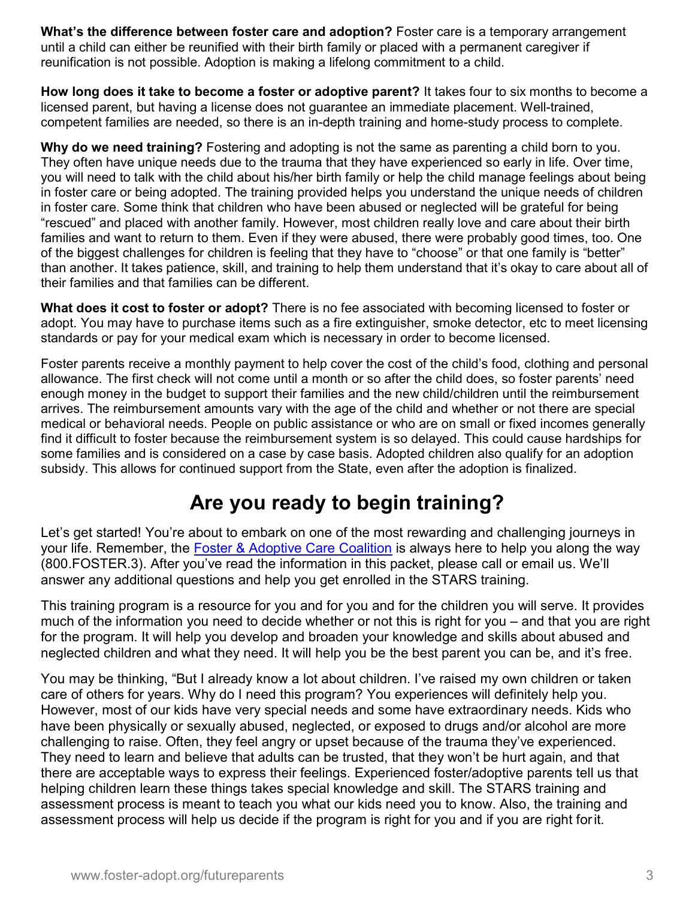What's the difference between foster care and adoption? Foster care is a temporary arrangement until a child can either be reunified with their birth family or placed with a permanent caregiver if reunification is not possible. Adoption is making a lifelong commitment to a child.

How long does it take to become a foster or adoptive parent? It takes four to six months to become a licensed parent, but having a license does not guarantee an immediate placement. Well-trained, competent families are needed, so there is an in-depth training and home-study process to complete.

Why do we need training? Fostering and adopting is not the same as parenting a child born to you. They often have unique needs due to the trauma that they have experienced so early in life. Over time, you will need to talk with the child about his/her birth family or help the child manage feelings about being in foster care or being adopted. The training provided helps you understand the unique needs of children in foster care. Some think that children who have been abused or neglected will be grateful for being "rescued" and placed with another family. However, most children really love and care about their birth families and want to return to them. Even if they were abused, there were probably good times, too. One of the biggest challenges for children is feeling that they have to "choose" or that one family is "better" than another. It takes patience, skill, and training to help them understand that it's okay to care about all of their families and that families can be different.

What does it cost to foster or adopt? There is no fee associated with becoming licensed to foster or adopt. You may have to purchase items such as a fire extinguisher, smoke detector, etc to meet licensing standards or pay for your medical exam which is necessary in order to become licensed.

Foster parents receive a monthly payment to help cover the cost of the child's food, clothing and personal allowance. The first check will not come until a month or so after the child does, so foster parents' need enough money in the budget to support their families and the new child/children until the reimbursement arrives. The reimbursement amounts vary with the age of the child and whether or not there are special medical or behavioral needs. People on public assistance or who are on small or fixed incomes generally find it difficult to foster because the reimbursement system is so delayed. This could cause hardships for some families and is considered on a case by case basis. Adopted children also qualify for an adoption subsidy. This allows for continued support from the State, even after the adoption is finalized.

## Are you ready to begin training?

Let's get started! You're about to embark on one of the most rewarding and challenging journeys in your life. Remember, the Foster & Adoptive Care Coalition is always here to help you along the way (800.FOSTER.3). After you've read the information in this packet, please call or email us. We'll answer any additional questions and help you get enrolled in the STARS training.

This training program is a resource for you and for you and for the children you will serve. It provides much of the information you need to decide whether or not this is right for you – and that you are right for the program. It will help you develop and broaden your knowledge and skills about abused and neglected children and what they need. It will help you be the best parent you can be, and it's free.

You may be thinking, "But I already know a lot about children. I've raised my own children or taken care of others for years. Why do I need this program? You experiences will definitely help you. However, most of our kids have very special needs and some have extraordinary needs. Kids who have been physically or sexually abused, neglected, or exposed to drugs and/or alcohol are more challenging to raise. Often, they feel angry or upset because of the trauma they've experienced. They need to learn and believe that adults can be trusted, that they won't be hurt again, and that there are acceptable ways to express their feelings. Experienced foster/adoptive parents tell us that helping children learn these things takes special knowledge and skill. The STARS training and assessment process is meant to teach you what our kids need you to know. Also, the training and assessment process will help us decide if the program is right for you and if you are right for it.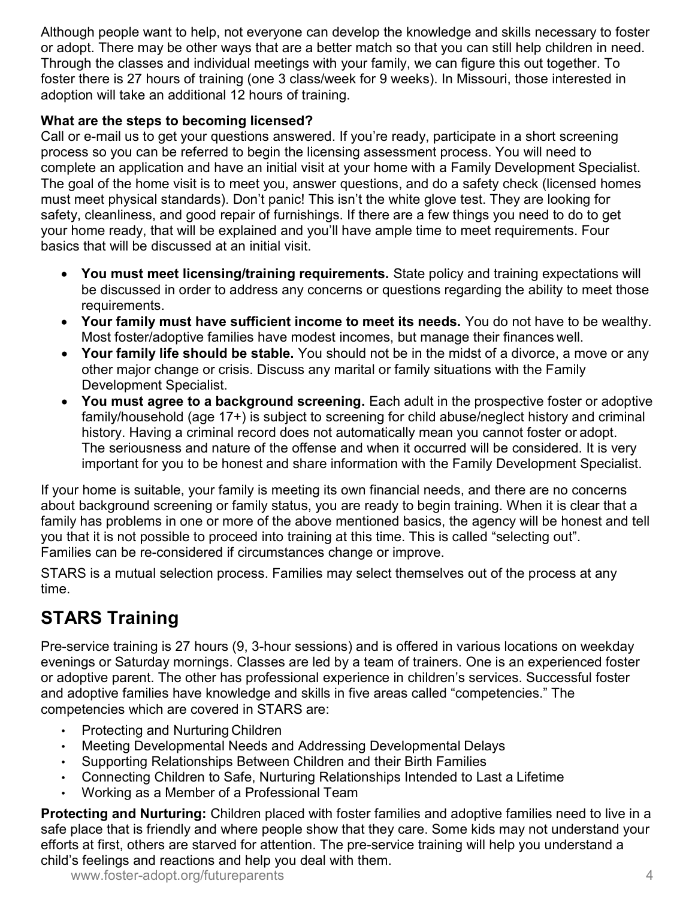Although people want to help, not everyone can develop the knowledge and skills necessary to foster or adopt. There may be other ways that are a better match so that you can still help children in need. Through the classes and individual meetings with your family, we can figure this out together. To foster there is 27 hours of training (one 3 class/week for 9 weeks). In Missouri, those interested in adoption will take an additional 12 hours of training.

## What are the steps to becoming licensed?

Call or e-mail us to get your questions answered. If you're ready, participate in a short screening process so you can be referred to begin the licensing assessment process. You will need to complete an application and have an initial visit at your home with a Family Development Specialist. The goal of the home visit is to meet you, answer questions, and do a safety check (licensed homes must meet physical standards). Don't panic! This isn't the white glove test. They are looking for safety, cleanliness, and good repair of furnishings. If there are a few things you need to do to get your home ready, that will be explained and you'll have ample time to meet requirements. Four basics that will be discussed at an initial visit.

- You must meet licensing/training requirements. State policy and training expectations will be discussed in order to address any concerns or questions regarding the ability to meet those requirements.
- Your family must have sufficient income to meet its needs. You do not have to be wealthy. Most foster/adoptive families have modest incomes, but manage their finances well.
- Your family life should be stable. You should not be in the midst of a divorce, a move or any other major change or crisis. Discuss any marital or family situations with the Family Development Specialist.
- You must agree to a background screening. Each adult in the prospective foster or adoptive family/household (age 17+) is subject to screening for child abuse/neglect history and criminal history. Having a criminal record does not automatically mean you cannot foster or adopt. The seriousness and nature of the offense and when it occurred will be considered. It is very important for you to be honest and share information with the Family Development Specialist.

If your home is suitable, your family is meeting its own financial needs, and there are no concerns about background screening or family status, you are ready to begin training. When it is clear that a family has problems in one or more of the above mentioned basics, the agency will be honest and tell you that it is not possible to proceed into training at this time. This is called "selecting out". Families can be re-considered if circumstances change or improve.

STARS is a mutual selection process. Families may select themselves out of the process at any time.

## STARS Training

Pre-service training is 27 hours (9, 3-hour sessions) and is offered in various locations on weekday evenings or Saturday mornings. Classes are led by a team of trainers. One is an experienced foster or adoptive parent. The other has professional experience in children's services. Successful foster and adoptive families have knowledge and skills in five areas called "competencies." The competencies which are covered in STARS are:

- Protecting and Nurturing Children
- Meeting Developmental Needs and Addressing Developmental Delays
- Supporting Relationships Between Children and their Birth Families
- Connecting Children to Safe, Nurturing Relationships Intended to Last a Lifetime
- Working as a Member of a Professional Team

Protecting and Nurturing: Children placed with foster families and adoptive families need to live in a safe place that is friendly and where people show that they care. Some kids may not understand your efforts at first, others are starved for attention. The pre-service training will help you understand a child's feelings and reactions and help you deal with them.

www.foster-adopt.org/futureparents 4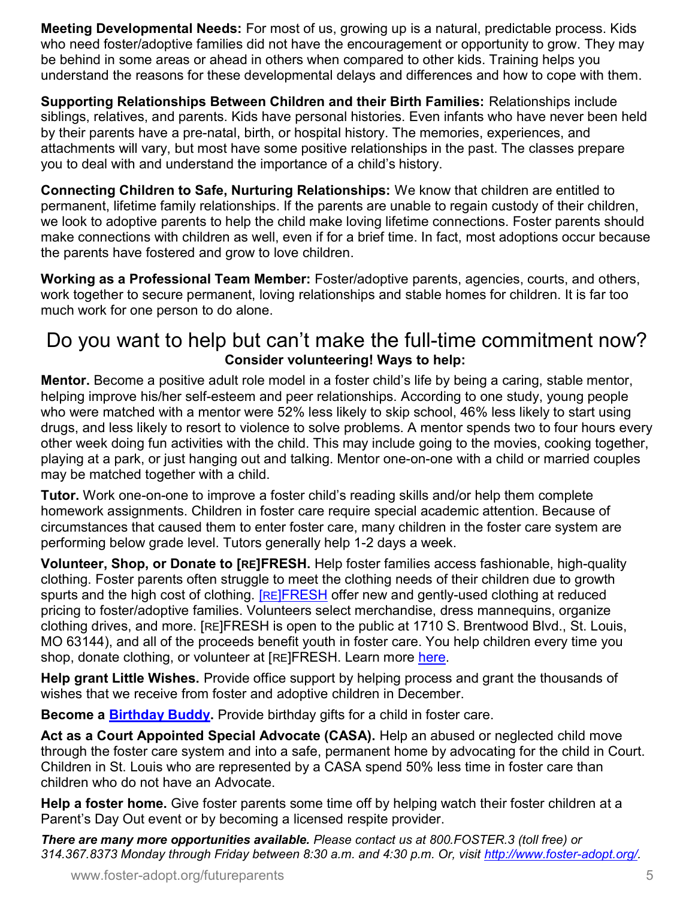Meeting Developmental Needs: For most of us, growing up is a natural, predictable process. Kids who need foster/adoptive families did not have the encouragement or opportunity to grow. They may be behind in some areas or ahead in others when compared to other kids. Training helps you understand the reasons for these developmental delays and differences and how to cope with them.

Supporting Relationships Between Children and their Birth Families: Relationships include siblings, relatives, and parents. Kids have personal histories. Even infants who have never been held by their parents have a pre-natal, birth, or hospital history. The memories, experiences, and attachments will vary, but most have some positive relationships in the past. The classes prepare you to deal with and understand the importance of a child's history.

Connecting Children to Safe, Nurturing Relationships: We know that children are entitled to permanent, lifetime family relationships. If the parents are unable to regain custody of their children, we look to adoptive parents to help the child make loving lifetime connections. Foster parents should make connections with children as well, even if for a brief time. In fact, most adoptions occur because the parents have fostered and grow to love children.

Working as a Professional Team Member: Foster/adoptive parents, agencies, courts, and others, work together to secure permanent, loving relationships and stable homes for children. It is far too much work for one person to do alone.

## Do you want to help but can't make the full-time commitment now? Consider volunteering! Ways to help:

Mentor. Become a positive adult role model in a foster child's life by being a caring, stable mentor, helping improve his/her self-esteem and peer relationships. According to one study, young people who were matched with a mentor were 52% less likely to skip school, 46% less likely to start using drugs, and less likely to resort to violence to solve problems. A mentor spends two to four hours every other week doing fun activities with the child. This may include going to the movies, cooking together, playing at a park, or just hanging out and talking. Mentor one-on-one with a child or married couples may be matched together with a child.

Tutor. Work one-on-one to improve a foster child's reading skills and/or help them complete homework assignments. Children in foster care require special academic attention. Because of circumstances that caused them to enter foster care, many children in the foster care system are performing below grade level. Tutors generally help 1-2 days a week.

Volunteer, Shop, or Donate to [RE]FRESH. Help foster families access fashionable, high-quality clothing. Foster parents often struggle to meet the clothing needs of their children due to growth spurts and the high cost of clothing. **[RE]FRESH** offer new and gently-used clothing at reduced pricing to foster/adoptive families. Volunteers select merchandise, dress mannequins, organize clothing drives, and more. [RE]FRESH is open to the public at 1710 S. Brentwood Blvd., St. Louis, MO 63144), and all of the proceeds benefit youth in foster care. You help children every time you shop, donate clothing, or volunteer at [RE]FRESH. Learn more here.

Help grant Little Wishes. Provide office support by helping process and grant the thousands of wishes that we receive from foster and adoptive children in December.

Become a **Birthday Buddy**. Provide birthday gifts for a child in foster care.

Act as a Court Appointed Special Advocate (CASA). Help an abused or neglected child move through the foster care system and into a safe, permanent home by advocating for the child in Court. Children in St. Louis who are represented by a CASA spend 50% less time in foster care than children who do not have an Advocate.

Help a foster home. Give foster parents some time off by helping watch their foster children at a Parent's Day Out event or by becoming a licensed respite provider.

There are many more opportunities available. Please contact us at 800.FOSTER.3 (toll free) or 314.367.8373 Monday through Friday between 8:30 a.m. and 4:30 p.m. Or, visit http://www.foster-adopt.org/.